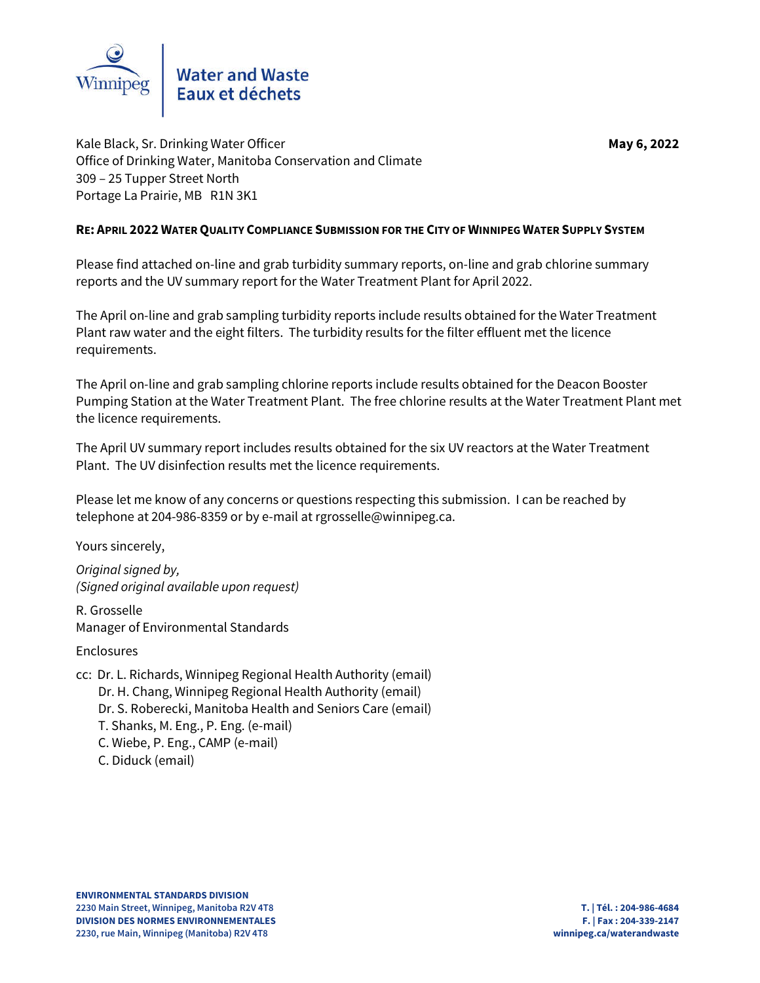

Kale Black, Sr. Drinking Water Officer **May** 6, 2022 Office of Drinking Water, Manitoba Conservation and Climate 309 – 25 Tupper Street North Portage La Prairie, MB R1N 3K1

## **RE: APRIL 2022 WATER QUALITY COMPLIANCE SUBMISSION FOR THE CITY OF WINNIPEG WATER SUPPLY SYSTEM**

Please find attached on-line and grab turbidity summary reports, on-line and grab chlorine summary reports and the UV summary report for the Water Treatment Plant for April 2022.

The April on-line and grab sampling turbidity reports include results obtained for the Water Treatment Plant raw water and the eight filters. The turbidity results for the filter effluent met the licence requirements.

The April on-line and grab sampling chlorine reports include results obtained for the Deacon Booster Pumping Station at the Water Treatment Plant. The free chlorine results at the Water Treatment Plant met the licence requirements.

The April UV summary report includes results obtained for the six UV reactors at the Water Treatment Plant. The UV disinfection results met the licence requirements.

Please let me know of any concerns or questions respecting this submission. I can be reached by telephone at 204-986-8359 or by e-mail at rgrosselle@winnipeg.ca.

Yours sincerely,

*Original signed by, (Signed original available upon request)*

R. Grosselle Manager of Environmental Standards

Enclosures

cc: Dr. L. Richards, Winnipeg Regional Health Authority (email) Dr. H. Chang, Winnipeg Regional Health Authority (email) Dr. S. Roberecki, Manitoba Health and Seniors Care (email) T. Shanks, M. Eng., P. Eng. (e-mail) C. Wiebe, P. Eng., CAMP (e-mail) C. Diduck (email)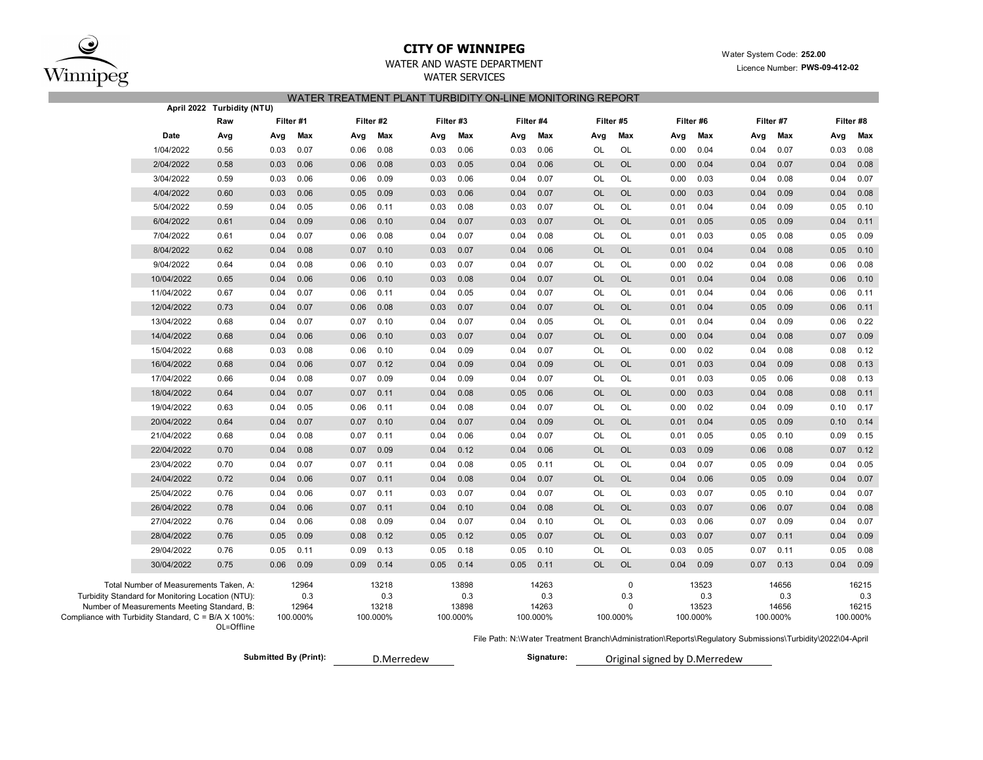

# **CITY OF WINNIPEG** WATER WATER WATER MANUSCRIPT WATER System Code: 252.00

WATER AND WASTE DEPARTMENT

### WATER SERVICES

|--|

|                                                     |                                                                                                                                            | April 2022 Turbidity (NTU) |      |                                   |      |                                   | \  EI\  \E/\  WEN    E/\ \   V \DID     V \E  \E  WON  V \   V \E  V \ |                                   |      |                                   |           |                                  |      |                                   |      |                                   |      |                                   |
|-----------------------------------------------------|--------------------------------------------------------------------------------------------------------------------------------------------|----------------------------|------|-----------------------------------|------|-----------------------------------|------------------------------------------------------------------------|-----------------------------------|------|-----------------------------------|-----------|----------------------------------|------|-----------------------------------|------|-----------------------------------|------|-----------------------------------|
|                                                     |                                                                                                                                            | Raw                        |      | Filter #1                         |      | Filter #2                         |                                                                        | Filter #3                         |      | Filter #4                         |           | Filter #5                        |      | Filter #6                         |      | Filter #7                         |      | Filter #8                         |
|                                                     | Date                                                                                                                                       | Avg                        | Avg  | Max                               | Avg  | Max                               | Avg                                                                    | Max                               | Avg  | Max                               | Avg       | Max                              | Avg  | Max                               | Avg  | Max                               | Avg  | Max                               |
|                                                     | 1/04/2022                                                                                                                                  | 0.56                       | 0.03 | 0.07                              | 0.06 | 0.08                              | 0.03                                                                   | 0.06                              | 0.03 | 0.06                              | OL        | OL                               | 0.00 | 0.04                              | 0.04 | 0.07                              | 0.03 | 0.08                              |
|                                                     | 2/04/2022                                                                                                                                  | 0.58                       | 0.03 | 0.06                              | 0.06 | 0.08                              | 0.03                                                                   | 0.05                              | 0.04 | 0.06                              | <b>OL</b> | <b>OL</b>                        | 0.00 | 0.04                              | 0.04 | 0.07                              | 0.04 | 0.08                              |
|                                                     | 3/04/2022                                                                                                                                  | 0.59                       | 0.03 | 0.06                              | 0.06 | 0.09                              | 0.03                                                                   | 0.06                              | 0.04 | 0.07                              | OL        | OL                               | 0.00 | 0.03                              | 0.04 | 0.08                              | 0.04 | 0.07                              |
|                                                     | 4/04/2022                                                                                                                                  | 0.60                       | 0.03 | 0.06                              | 0.05 | 0.09                              | 0.03                                                                   | 0.06                              | 0.04 | 0.07                              | <b>OL</b> | OL                               | 0.00 | 0.03                              | 0.04 | 0.09                              | 0.04 | 0.08                              |
|                                                     | 5/04/2022                                                                                                                                  | 0.59                       | 0.04 | 0.05                              | 0.06 | 0.11                              | 0.03                                                                   | 0.08                              | 0.03 | 0.07                              | OL        | OL                               | 0.01 | 0.04                              | 0.04 | 0.09                              | 0.05 | 0.10                              |
|                                                     | 6/04/2022                                                                                                                                  | 0.61                       | 0.04 | 0.09                              | 0.06 | 0.10                              | 0.04                                                                   | 0.07                              | 0.03 | 0.07                              | <b>OL</b> | OL                               | 0.01 | 0.05                              | 0.05 | 0.09                              | 0.04 | 0.11                              |
|                                                     | 7/04/2022                                                                                                                                  | 0.61                       | 0.04 | 0.07                              | 0.06 | 0.08                              | 0.04                                                                   | 0.07                              | 0.04 | 0.08                              | OL        | OL                               | 0.01 | 0.03                              | 0.05 | 0.08                              | 0.05 | 0.09                              |
|                                                     | 8/04/2022                                                                                                                                  | 0.62                       | 0.04 | 0.08                              | 0.07 | 0.10                              | 0.03                                                                   | 0.07                              | 0.04 | 0.06                              | <b>OL</b> | OL                               | 0.01 | 0.04                              | 0.04 | 0.08                              | 0.05 | 0.10                              |
|                                                     | 9/04/2022                                                                                                                                  | 0.64                       | 0.04 | 0.08                              | 0.06 | 0.10                              | 0.03                                                                   | 0.07                              | 0.04 | 0.07                              | OL        | OL                               | 0.00 | 0.02                              | 0.04 | 0.08                              | 0.06 | 0.08                              |
|                                                     | 10/04/2022                                                                                                                                 | 0.65                       | 0.04 | 0.06                              | 0.06 | 0.10                              | 0.03                                                                   | 0.08                              | 0.04 | 0.07                              | <b>OL</b> | OL                               | 0.01 | 0.04                              | 0.04 | 0.08                              | 0.06 | 0.10                              |
|                                                     | 11/04/2022                                                                                                                                 | 0.67                       | 0.04 | 0.07                              | 0.06 | 0.11                              | 0.04                                                                   | 0.05                              | 0.04 | 0.07                              | OL        | OL                               | 0.01 | 0.04                              | 0.04 | 0.06                              | 0.06 | 0.11                              |
|                                                     | 12/04/2022                                                                                                                                 | 0.73                       | 0.04 | 0.07                              | 0.06 | 0.08                              | 0.03                                                                   | 0.07                              | 0.04 | 0.07                              | <b>OL</b> | OL                               | 0.01 | 0.04                              | 0.05 | 0.09                              | 0.06 | 0.11                              |
|                                                     | 13/04/2022                                                                                                                                 | 0.68                       | 0.04 | 0.07                              | 0.07 | 0.10                              | 0.04                                                                   | 0.07                              | 0.04 | 0.05                              | OL        | OL                               | 0.01 | 0.04                              | 0.04 | 0.09                              | 0.06 | 0.22                              |
|                                                     | 14/04/2022                                                                                                                                 | 0.68                       | 0.04 | 0.06                              | 0.06 | 0.10                              | 0.03                                                                   | 0.07                              | 0.04 | 0.07                              | <b>OL</b> | OL                               | 0.00 | 0.04                              | 0.04 | 0.08                              | 0.07 | 0.09                              |
|                                                     | 15/04/2022                                                                                                                                 | 0.68                       | 0.03 | 0.08                              | 0.06 | 0.10                              | 0.04                                                                   | 0.09                              | 0.04 | 0.07                              | OL        | OL                               | 0.00 | 0.02                              | 0.04 | 0.08                              | 0.08 | 0.12                              |
|                                                     | 16/04/2022                                                                                                                                 | 0.68                       | 0.04 | 0.06                              | 0.07 | 0.12                              | 0.04                                                                   | 0.09                              | 0.04 | 0.09                              | <b>OL</b> | OL                               | 0.01 | 0.03                              | 0.04 | 0.09                              | 0.08 | 0.13                              |
|                                                     | 17/04/2022                                                                                                                                 | 0.66                       | 0.04 | 0.08                              | 0.07 | 0.09                              | 0.04                                                                   | 0.09                              | 0.04 | 0.07                              | OL        | OL                               | 0.01 | 0.03                              | 0.05 | 0.06                              | 0.08 | 0.13                              |
|                                                     | 18/04/2022                                                                                                                                 | 0.64                       | 0.04 | 0.07                              | 0.07 | 0.11                              | 0.04                                                                   | 0.08                              | 0.05 | 0.06                              | <b>OL</b> | OL                               | 0.00 | 0.03                              | 0.04 | 0.08                              | 0.08 | 0.11                              |
|                                                     | 19/04/2022                                                                                                                                 | 0.63                       | 0.04 | 0.05                              | 0.06 | 0.11                              | 0.04                                                                   | 0.08                              | 0.04 | 0.07                              | OL        | OL                               | 0.00 | 0.02                              | 0.04 | 0.09                              | 0.10 | 0.17                              |
|                                                     | 20/04/2022                                                                                                                                 | 0.64                       | 0.04 | 0.07                              | 0.07 | 0.10                              | 0.04                                                                   | 0.07                              | 0.04 | 0.09                              | <b>OL</b> | OL                               | 0.01 | 0.04                              | 0.05 | 0.09                              | 0.10 | 0.14                              |
|                                                     | 21/04/2022                                                                                                                                 | 0.68                       | 0.04 | 0.08                              | 0.07 | 0.11                              | 0.04                                                                   | 0.06                              | 0.04 | 0.07                              | OL        | OL                               | 0.01 | 0.05                              | 0.05 | 0.10                              | 0.09 | 0.15                              |
|                                                     | 22/04/2022                                                                                                                                 | 0.70                       | 0.04 | 0.08                              | 0.07 | 0.09                              | 0.04                                                                   | 0.12                              | 0.04 | 0.06                              | <b>OL</b> | <b>OL</b>                        | 0.03 | 0.09                              | 0.06 | 0.08                              | 0.07 | 0.12                              |
|                                                     | 23/04/2022                                                                                                                                 | 0.70                       | 0.04 | 0.07                              | 0.07 | 0.11                              | 0.04                                                                   | 0.08                              | 0.05 | 0.11                              | OL        | OL                               | 0.04 | 0.07                              | 0.05 | 0.09                              | 0.04 | 0.05                              |
|                                                     | 24/04/2022                                                                                                                                 | 0.72                       | 0.04 | 0.06                              | 0.07 | 0.11                              | 0.04                                                                   | 0.08                              | 0.04 | 0.07                              | <b>OL</b> | <b>OL</b>                        | 0.04 | 0.06                              | 0.05 | 0.09                              | 0.04 | 0.07                              |
|                                                     | 25/04/2022                                                                                                                                 | 0.76                       | 0.04 | 0.06                              | 0.07 | 0.11                              | 0.03                                                                   | 0.07                              | 0.04 | 0.07                              | OL        | OL                               | 0.03 | 0.07                              | 0.05 | 0.10                              | 0.04 | 0.07                              |
|                                                     | 26/04/2022                                                                                                                                 | 0.78                       | 0.04 | 0.06                              | 0.07 | 0.11                              | 0.04                                                                   | 0.10                              | 0.04 | 0.08                              | <b>OL</b> | <b>OL</b>                        | 0.03 | 0.07                              | 0.06 | 0.07                              | 0.04 | 0.08                              |
|                                                     | 27/04/2022                                                                                                                                 | 0.76                       | 0.04 | 0.06                              | 0.08 | 0.09                              | 0.04                                                                   | 0.07                              | 0.04 | 0.10                              | OL        | OL                               | 0.03 | 0.06                              | 0.07 | 0.09                              | 0.04 | 0.07                              |
|                                                     | 28/04/2022                                                                                                                                 | 0.76                       | 0.05 | 0.09                              | 0.08 | 0.12                              | 0.05                                                                   | 0.12                              | 0.05 | 0.07                              | <b>OL</b> | OL                               | 0.03 | 0.07                              | 0.07 | 0.11                              | 0.04 | 0.09                              |
|                                                     | 29/04/2022                                                                                                                                 | 0.76                       | 0.05 | 0.11                              | 0.09 | 0.13                              | 0.05                                                                   | 0.18                              | 0.05 | 0.10                              | OL        | OL                               | 0.03 | 0.05                              | 0.07 | 0.11                              | 0.05 | 0.08                              |
|                                                     | 30/04/2022                                                                                                                                 | 0.75                       | 0.06 | 0.09                              | 0.09 | 0.14                              | 0.05                                                                   | 0.14                              | 0.05 | 0.11                              | <b>OL</b> | OL                               | 0.04 | 0.09                              | 0.07 | 0.13                              | 0.04 | 0.09                              |
| Compliance with Turbidity Standard, C = B/A X 100%: | Total Number of Measurements Taken, A:<br>Turbidity Standard for Monitoring Location (NTU):<br>Number of Measurements Meeting Standard, B: | OL=Offline                 |      | 12964<br>0.3<br>12964<br>100.000% |      | 13218<br>0.3<br>13218<br>100.000% |                                                                        | 13898<br>0.3<br>13898<br>100.000% |      | 14263<br>0.3<br>14263<br>100.000% |           | 0<br>0.3<br>$\Omega$<br>100.000% |      | 13523<br>0.3<br>13523<br>100.000% |      | 14656<br>0.3<br>14656<br>100.000% |      | 16215<br>0.3<br>16215<br>100.000% |

File Path: N:\Water Treatment Branch\Administration\Reports\Regulatory Submissions\Turbidity\2022\04-April

```
Submitted By (Print): Bubmitted By (Print): Signature: Bubmitted By (Print): Bubmitted By (Print): Bubmitted By (Print): Bubmitted By (Print): Bubmitted By (Print): Bubmitted By (Print): Bubmitted By (Prin
```
Original signed by D.Merredew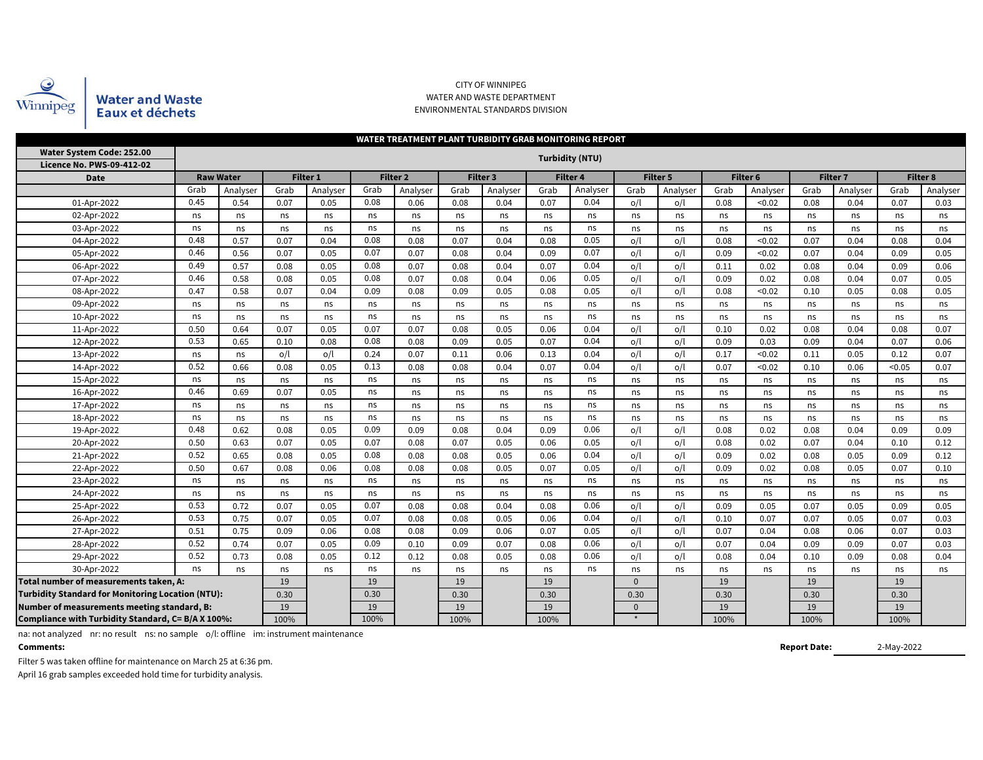

#### CITY OF WINNIPEG WATER AND WASTE DEPARTMENT ENVIRONMENTAL STANDARDS DIVISION

| WATER TREATMENT PLANT TURBIDITY GRAB MONITORING REPORT   |              |                  |      |          |                     |          |      |          |      |                        |      |          |      |          |                 |          |        |          |
|----------------------------------------------------------|--------------|------------------|------|----------|---------------------|----------|------|----------|------|------------------------|------|----------|------|----------|-----------------|----------|--------|----------|
| Water System Code: 252.00<br>Licence No. PWS-09-412-02   |              |                  |      |          |                     |          |      |          |      | <b>Turbidity (NTU)</b> |      |          |      |          |                 |          |        |          |
| <b>Date</b>                                              |              | <b>Raw Water</b> |      | Filter 1 | Filter <sub>2</sub> |          |      | Filter 3 |      | <b>Filter 4</b>        |      | Filter 5 |      | Filter 6 | <b>Filter 7</b> |          |        | Filter 8 |
|                                                          | Grab         | Analyser         | Grab | Analyser | Grab                | Analyser | Grab | Analyser | Grab | Analyser               | Grab | Analyser | Grab | Analyser | Grab            | Analyser | Grab   | Analyser |
| 01-Apr-2022                                              | 0.45         | 0.54             | 0.07 | 0.05     | 0.08                | 0.06     | 0.08 | 0.04     | 0.07 | 0.04                   | o/l  | o/l      | 0.08 | < 0.02   | 0.08            | 0.04     | 0.07   | 0.03     |
| 02-Apr-2022                                              | ns           | ns               | ns   | ns       | ns                  | ns       | ns   | ns       | ns   | ns                     | ns   | ns       | ns   | ns       | ns              | ns       | ns     | ns       |
| 03-Apr-2022                                              | ns           | ns               | ns   | ns       | ns                  | ns       | ns   | ns       | ns   | ns                     | ns   | ns       | ns   | ns       | ns              | ns       | ns     | ns       |
| 04-Apr-2022                                              | 0.48<br>0.57 |                  | 0.07 | 0.04     | 0.08                | 0.08     | 0.07 | 0.04     | 0.08 | 0.05                   | o/l  | o/l      | 0.08 | < 0.02   | 0.07            | 0.04     | 0.08   | 0.04     |
| 0.46<br>0.56<br>05-Apr-2022                              |              |                  | 0.07 | 0.05     | 0.07                | 0.07     | 0.08 | 0.04     | 0.09 | 0.07                   | o/l  | o/l      | 0.09 | < 0.02   | 0.07            | 0.04     | 0.09   | 0.05     |
| 0.49<br>0.57<br>06-Apr-2022                              |              |                  | 0.08 | 0.05     | 0.08                | 0.07     | 0.08 | 0.04     | 0.07 | 0.04                   | O/l  | o/l      | 0.11 | 0.02     | 0.08            | 0.04     | 0.09   | 0.06     |
| 0.46<br>07-Apr-2022<br>0.58                              |              |                  | 0.08 | 0.05     | 0.08                | 0.07     | 0.08 | 0.04     | 0.06 | 0.05                   | o/l  | o/l      | 0.09 | 0.02     | 0.08            | 0.04     | 0.07   | 0.05     |
| 0.47<br>08-Apr-2022<br>0.58                              |              |                  | 0.07 | 0.04     | 0.09                | 0.08     | 0.09 | 0.05     | 0.08 | 0.05                   | o/l  | o/l      | 0.08 | < 0.02   | 0.10            | 0.05     | 0.08   | 0.05     |
| 09-Apr-2022                                              | ns           | ns               | ns   | ns       | ns                  | ns       | ns   | ns       | ns   | ns                     | ns   | ns       | ns   | ns       | ns              | ns       | ns     | ns       |
| 10-Apr-2022                                              | ns           | ns               | ns   | ns       | ns                  | ns       | ns   | ns       | ns   | ns                     | ns   | ns       | ns   | ns       | ns              | ns       | ns     | ns       |
| 11-Apr-2022                                              | 0.50         | 0.64             | 0.07 | 0.05     | 0.07                | 0.07     | 0.08 | 0.05     | 0.06 | 0.04                   | o/l  | o/l      | 0.10 | 0.02     | 0.08            | 0.04     | 0.08   | 0.07     |
| 12-Apr-2022                                              | 0.53         | 0.65             | 0.10 | 0.08     | 0.08                | 0.08     | 0.09 | 0.05     | 0.07 | 0.04                   | o/l  | o/l      | 0.09 | 0.03     | 0.09            | 0.04     | 0.07   | 0.06     |
| 13-Apr-2022                                              | ns           | ns               | o/l  | o/l      | 0.24                | 0.07     | 0.11 | 0.06     | 0.13 | 0.04                   | o/l  | o/l      | 0.17 | < 0.02   | 0.11            | 0.05     | 0.12   | 0.07     |
| 14-Apr-2022                                              | 0.52         | 0.66             | 0.08 | 0.05     | 0.13                | 0.08     | 0.08 | 0.04     | 0.07 | 0.04                   | o/l  | o/l      | 0.07 | < 0.02   | 0.10            | 0.06     | < 0.05 | 0.07     |
| 15-Apr-2022                                              | ns           | ns               | ns   | ns       | ns                  | ns       | ns   | ns       | ns   | ns                     | ns   | ns       | ns   | ns       | ns              | ns       | ns     | ns       |
| 16-Apr-2022                                              | 0.46         | 0.69             | 0.07 | 0.05     | ns                  | ns       | ns   | ns       | ns   | ns                     | ns   | ns       | ns   | ns       | ns              | ns       | ns     | ns       |
| 17-Apr-2022                                              | ns           | ns               | ns   | ns       | ns                  | ns       | ns   | ns       | ns   | ns                     | ns   | ns       | ns   | ns       | ns              | ns       | ns     | ns       |
| 18-Apr-2022                                              | ns           | ns               | ns   | ns       | ns                  | ns       | ns   | ns       | ns   | ns                     | ns   | ns       | ns   | ns       | ns              | ns       | ns     | ns       |
| 19-Apr-2022                                              | 0.48         | 0.62             | 0.08 | 0.05     | 0.09                | 0.09     | 0.08 | 0.04     | 0.09 | 0.06                   | o/l  | o/l      | 0.08 | 0.02     | 0.08            | 0.04     | 0.09   | 0.09     |
| 20-Apr-2022                                              | 0.50         | 0.63             | 0.07 | 0.05     | 0.07                | 0.08     | 0.07 | 0.05     | 0.06 | 0.05                   | o/l  | o/l      | 0.08 | 0.02     | 0.07            | 0.04     | 0.10   | 0.12     |
| 21-Apr-2022                                              | 0.52         | 0.65             | 0.08 | 0.05     | 0.08                | 0.08     | 0.08 | 0.05     | 0.06 | 0.04                   | o/l  | o/l      | 0.09 | 0.02     | 0.08            | 0.05     | 0.09   | 0.12     |
| 22-Apr-2022                                              | 0.50         | 0.67             | 0.08 | 0.06     | 0.08                | 0.08     | 0.08 | 0.05     | 0.07 | 0.05                   | o/l  | o/l      | 0.09 | 0.02     | 0.08            | 0.05     | 0.07   | 0.10     |
| 23-Apr-2022                                              | ns           | ns               | ns   | ns       | ns                  | ns       | ns   | ns       | ns   | ns                     | ns   | ns       | ns   | ns       | ns              | ns       | ns     | ns       |
| 24-Apr-2022                                              | ns           | ns               | ns   | ns       | ns                  | ns       | ns   | ns       | ns   | ns                     | ns   | ns       | ns   | ns       | ns              | ns       | ns     | ns       |
| 25-Apr-2022                                              | 0.53         | 0.72             | 0.07 | 0.05     | 0.07                | 0.08     | 0.08 | 0.04     | 0.08 | 0.06                   | o/l  | o/l      | 0.09 | 0.05     | 0.07            | 0.05     | 0.09   | 0.05     |
| 26-Apr-2022                                              | 0.53         | 0.75             | 0.07 | 0.05     | 0.07                | 0.08     | 0.08 | 0.05     | 0.06 | 0.04                   | o/l  | o/l      | 0.10 | 0.07     | 0.07            | 0.05     | 0.07   | 0.03     |
| 27-Apr-2022                                              | 0.51         | 0.75             | 0.09 | 0.06     | 0.08                | 0.08     | 0.09 | 0.06     | 0.07 | 0.05                   | o/l  | o/l      | 0.07 | 0.04     | 0.08            | 0.06     | 0.07   | 0.03     |
| 28-Apr-2022                                              | 0.52         | 0.74             | 0.07 | 0.05     | 0.09                | 0.10     | 0.09 | 0.07     | 0.08 | 0.06                   | o/l  | o/l      | 0.07 | 0.04     | 0.09            | 0.09     | 0.07   | 0.03     |
| 29-Apr-2022                                              | 0.52         | 0.73             | 0.08 | 0.05     | 0.12                | 0.12     | 0.08 | 0.05     | 0.08 | 0.06                   | o/l  | o/l      | 0.08 | 0.04     | 0.10            | 0.09     | 0.08   | 0.04     |
| 30-Apr-2022                                              | ns           | ns               | ns   | ns       | ns                  | ns       | ns   | ns       | ns   | ns                     | ns   | ns       | ns   | ns       | ns              | ns       | ns     |          |
| Total number of measurements taken, A:                   |              | 19               |      | 19       |                     | 19       |      | 19       |      | $\Omega$               |      | 19       |      | 19       |                 | 19       |        |          |
| <b>Turbidity Standard for Monitoring Location (NTU):</b> | 0.30         |                  | 0.30 |          | 0.30                |          | 0.30 |          | 0.30 |                        | 0.30 |          | 0.30 |          | 0.30            |          |        |          |
| Number of measurements meeting standard, B:              |              | 19               |      | 19       |                     | 19       |      | 19       |      | $\Omega$               |      | 19       |      | 19       |                 | 19       |        |          |
| Compliance with Turbidity Standard, C= B/A X 100%:       |              | 100%             |      | 100%     |                     | 100%     |      | 100%     |      |                        |      | 100%     |      | 100%     |                 | 100%     |        |          |

na: not analyzed nr: no result ns: no sample o/l: offline im: instrument maintenance

**Comments:**

**Report Date:**

2-May-2022

Filter 5 was taken offline for maintenance on March 25 at 6:36 pm. April 16 grab samples exceeded hold time for turbidity analysis.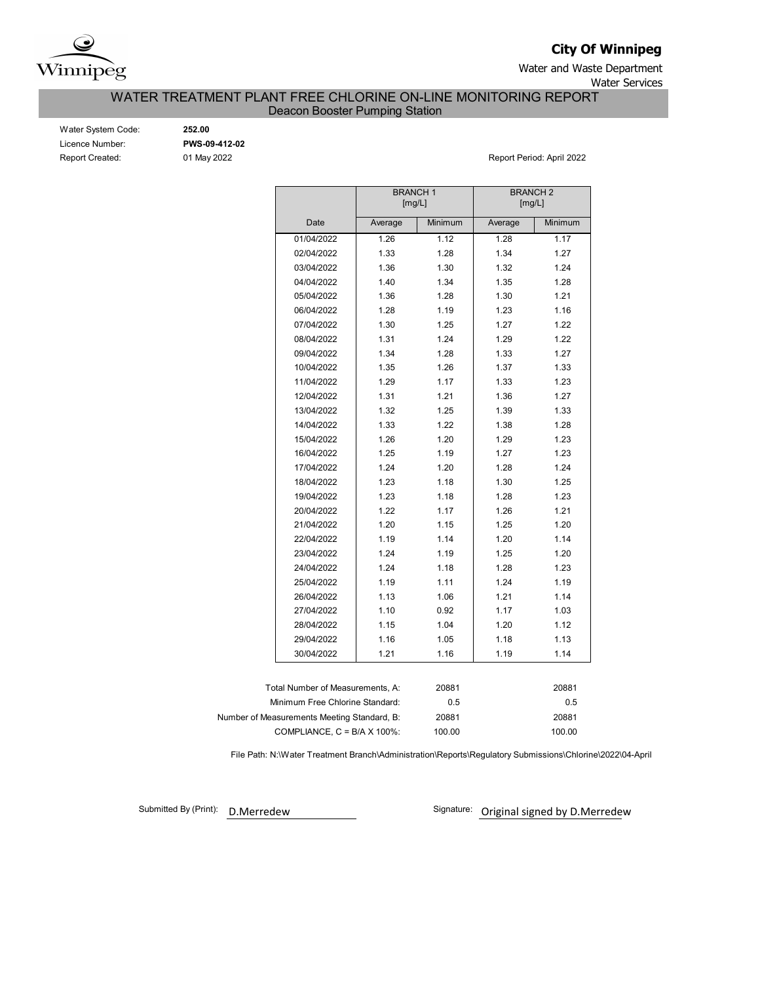

**City Of Winnipeg**

Water and Waste Department Water Services

WATER TREATMENT PLANT FREE CHLORINE ON-LINE MONITORING REPORT

Deacon Booster Pumping Station

| Water System Code:     |
|------------------------|
| Licence Number:        |
| <b>Report Created:</b> |

Water System Code: **252.00** Licence Number: **PWS-09-412-02**

01 May 2022 **Report Period: April 2022** 

|                                             | <b>BRANCH1</b> | [mg/L]  | <b>BRANCH 2</b><br>[mg/L] |         |  |  |  |  |
|---------------------------------------------|----------------|---------|---------------------------|---------|--|--|--|--|
| Date                                        | Average        | Minimum | Average                   | Minimum |  |  |  |  |
| 01/04/2022                                  | 1.26           | 1.12    | 1.28                      | 1.17    |  |  |  |  |
| 02/04/2022                                  | 1.33           | 1.28    | 1.34                      | 1.27    |  |  |  |  |
| 03/04/2022                                  | 1.36           | 1.30    | 1.32                      | 1.24    |  |  |  |  |
| 04/04/2022                                  | 1.40           | 1.34    | 1.35                      | 1.28    |  |  |  |  |
| 05/04/2022                                  | 1.36           | 1.28    | 1.30                      | 1.21    |  |  |  |  |
| 06/04/2022                                  | 1.28           | 1.19    | 1.23                      | 1.16    |  |  |  |  |
| 07/04/2022                                  | 1.30           | 1.25    | 1.27                      | 1.22    |  |  |  |  |
| 08/04/2022                                  | 1.31           | 1.24    | 1.29                      | 1.22    |  |  |  |  |
| 09/04/2022                                  | 1.34           | 1.28    | 1.33                      | 1.27    |  |  |  |  |
| 10/04/2022                                  | 1.35           | 1.26    | 1.37                      | 1.33    |  |  |  |  |
| 11/04/2022                                  | 1.29           | 1.17    | 1.33                      | 1.23    |  |  |  |  |
| 12/04/2022                                  | 1.31           | 1.21    | 1.36                      | 1.27    |  |  |  |  |
| 13/04/2022                                  | 1.32           | 1.25    | 1.39                      | 1.33    |  |  |  |  |
| 14/04/2022                                  | 1.33           | 1.22    | 1.38                      | 1.28    |  |  |  |  |
| 15/04/2022                                  | 1.26           | 1.20    | 1.29                      | 1.23    |  |  |  |  |
| 16/04/2022                                  | 1.25           | 1.19    | 1.27                      | 1.23    |  |  |  |  |
| 17/04/2022                                  | 1.24           | 1.20    | 1.28                      | 1.24    |  |  |  |  |
| 18/04/2022                                  | 1.23           | 1.18    | 1.30                      | 1.25    |  |  |  |  |
| 19/04/2022                                  | 1.23           | 1.18    | 1.28                      | 1.23    |  |  |  |  |
| 20/04/2022                                  | 1.22           | 1.17    | 1.26                      | 1.21    |  |  |  |  |
| 21/04/2022                                  | 1.20           | 1.15    | 1.25                      | 1.20    |  |  |  |  |
| 22/04/2022                                  | 1.19           | 1.14    | 1.20                      | 1.14    |  |  |  |  |
| 23/04/2022                                  | 1.24           | 1.19    | 1.25                      | 1.20    |  |  |  |  |
| 24/04/2022                                  | 1.24           | 1.18    | 1.28                      | 1.23    |  |  |  |  |
| 25/04/2022                                  | 1.19           | 1.11    | 1.24                      | 1.19    |  |  |  |  |
| 26/04/2022                                  | 1.13           | 1.06    | 1.21                      | 1.14    |  |  |  |  |
| 27/04/2022                                  | 1.10           | 0.92    | 1.17                      | 1.03    |  |  |  |  |
| 28/04/2022                                  | 1.15           | 1.04    | 1.20                      | 1.12    |  |  |  |  |
| 29/04/2022                                  | 1.16           | 1.05    | 1.18                      | 1.13    |  |  |  |  |
| 30/04/2022                                  | 1.21           | 1.16    | 1.19                      | 1.14    |  |  |  |  |
|                                             |                |         |                           |         |  |  |  |  |
| Total Number of Measurements, A:            |                | 20881   |                           | 20881   |  |  |  |  |
| Minimum Free Chlorine Standard:             |                | 0.5     |                           | 0.5     |  |  |  |  |
| Number of Measurements Meeting Standard, B: |                | 20881   |                           | 20881   |  |  |  |  |
| COMPLIANCE, $C = B/A \times 100\%$ :        |                | 100.00  |                           | 100.00  |  |  |  |  |

File Path: N:\Water Treatment Branch\Administration\Reports\Regulatory Submissions\Chlorine\2022\04-April

Submitted By (Print): D.Merredew

Signature: Original signed by D.Merredew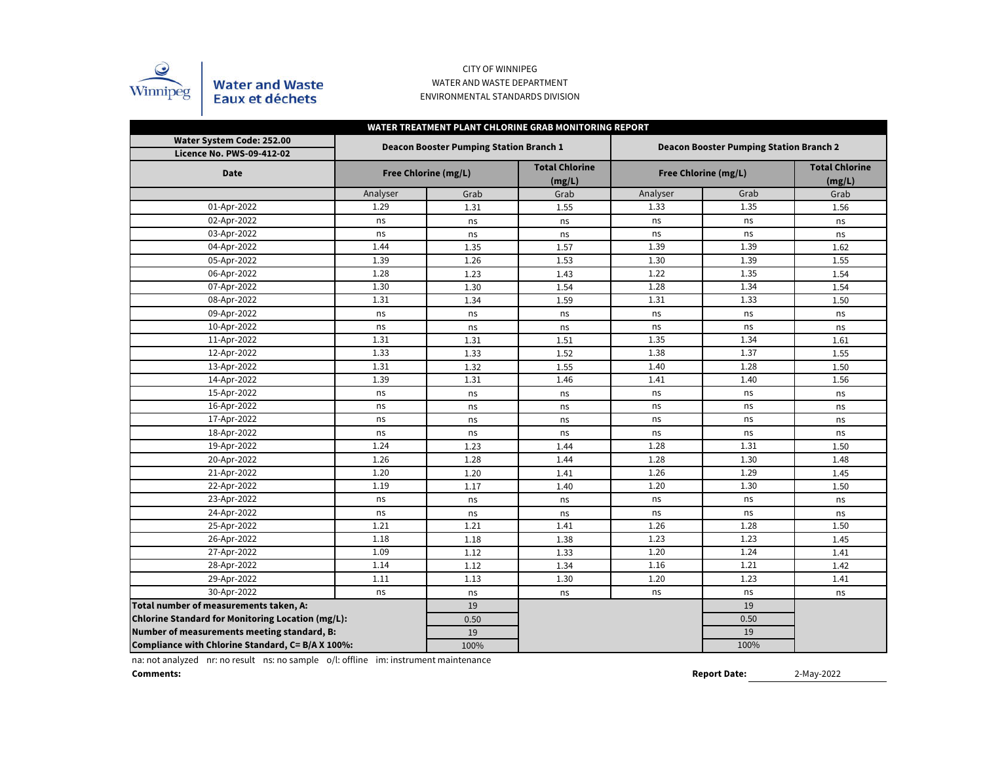

### CITY OF WINNIPEG WATER AND WASTE DEPARTMENT ENVIRONMENTAL STANDARDS DIVISION

| WATER TREATMENT PLANT CHLORINE GRAB MONITORING REPORT         |          |                                                |                                 |          |                                                |                                 |  |  |  |  |  |  |  |
|---------------------------------------------------------------|----------|------------------------------------------------|---------------------------------|----------|------------------------------------------------|---------------------------------|--|--|--|--|--|--|--|
| Water System Code: 252.00<br><b>Licence No. PWS-09-412-02</b> |          | <b>Deacon Booster Pumping Station Branch 1</b> |                                 |          | <b>Deacon Booster Pumping Station Branch 2</b> |                                 |  |  |  |  |  |  |  |
| <b>Date</b>                                                   |          | Free Chlorine (mg/L)                           | <b>Total Chlorine</b><br>(mg/L) |          | Free Chlorine (mg/L)                           | <b>Total Chlorine</b><br>(mg/L) |  |  |  |  |  |  |  |
|                                                               | Analyser | Grab                                           | Grab                            | Analyser | Grab                                           | Grab                            |  |  |  |  |  |  |  |
| 01-Apr-2022                                                   | 1.29     | 1.31                                           | 1.55                            | 1.33     | 1.35                                           | 1.56                            |  |  |  |  |  |  |  |
| 02-Apr-2022                                                   | ns       | ns                                             | ns                              | ns       | ns                                             | ns                              |  |  |  |  |  |  |  |
| 03-Apr-2022                                                   | ns       | ns                                             | ns                              | ns       | ns                                             | ns                              |  |  |  |  |  |  |  |
| 04-Apr-2022                                                   | 1.44     | 1.35                                           | 1.57                            | 1.39     | 1.39                                           | 1.62                            |  |  |  |  |  |  |  |
| 05-Apr-2022                                                   | 1.39     | 1.26                                           | 1.53                            | 1.30     | 1.39                                           | 1.55                            |  |  |  |  |  |  |  |
| 06-Apr-2022                                                   | 1.28     | 1.23                                           | 1.43                            | 1.22     | 1.35                                           | 1.54                            |  |  |  |  |  |  |  |
| 07-Apr-2022                                                   | 1.30     | 1.30                                           | 1.54                            | 1.28     | 1.34                                           | 1.54                            |  |  |  |  |  |  |  |
| 08-Apr-2022                                                   | 1.31     | 1.34                                           | 1.59                            | 1.31     | 1.33                                           | 1.50                            |  |  |  |  |  |  |  |
| 09-Apr-2022                                                   | ns       | ns                                             | ns                              | ns       | ns                                             | ns                              |  |  |  |  |  |  |  |
| 10-Apr-2022                                                   | ns       | ns                                             | ns                              | ns       | ns                                             | ns                              |  |  |  |  |  |  |  |
| 11-Apr-2022                                                   | 1.31     | 1.31                                           | 1.51                            | 1.35     | 1.34                                           | 1.61                            |  |  |  |  |  |  |  |
| 12-Apr-2022                                                   | 1.33     | 1.33                                           | 1.52                            | 1.38     | 1.37                                           | 1.55                            |  |  |  |  |  |  |  |
| 13-Apr-2022                                                   | 1.31     | 1.32                                           | 1.55                            | 1.40     | 1.28                                           | 1.50                            |  |  |  |  |  |  |  |
| 14-Apr-2022                                                   | 1.39     | 1.31                                           | 1.46                            | 1.41     | 1.40                                           | 1.56                            |  |  |  |  |  |  |  |
| 15-Apr-2022                                                   | ns       | ns                                             | ns                              | ns       | ns                                             | ns                              |  |  |  |  |  |  |  |
| 16-Apr-2022                                                   | ns       | ns                                             | ns                              | ns       | ns                                             | ns                              |  |  |  |  |  |  |  |
| 17-Apr-2022                                                   | ns       | ns                                             | ns                              | ns       | ns                                             | ns                              |  |  |  |  |  |  |  |
| 18-Apr-2022                                                   | ns       | ns                                             | ns                              | ns       | ns                                             | ns                              |  |  |  |  |  |  |  |
| 19-Apr-2022                                                   | 1.24     | 1.23                                           | 1.44                            | 1.28     | 1.31                                           | 1.50                            |  |  |  |  |  |  |  |
| 20-Apr-2022                                                   | 1.26     | 1.28                                           | 1.44                            | 1.28     | 1.30                                           | 1.48                            |  |  |  |  |  |  |  |
| $21$ -Apr-2022                                                | 1.20     | 1.20                                           | 1.41                            | 1.26     | 1.29                                           | 1.45                            |  |  |  |  |  |  |  |
| 22-Apr-2022                                                   | 1.19     | 1.17                                           | 1.40                            | 1.20     | 1.30                                           | 1.50                            |  |  |  |  |  |  |  |
| 23-Apr-2022                                                   | ns       | ns                                             | ns                              | ns       | ns                                             | ns                              |  |  |  |  |  |  |  |
| 24-Apr-2022                                                   | ns       | ns                                             | ns                              | ns       | ns                                             | ns                              |  |  |  |  |  |  |  |
| 25-Apr-2022                                                   | 1.21     | 1.21                                           | 1.41                            | 1.26     | 1.28                                           | 1.50                            |  |  |  |  |  |  |  |
| 26-Apr-2022                                                   | 1.18     | 1.18                                           | 1.38                            | 1.23     | 1.23                                           | 1.45                            |  |  |  |  |  |  |  |
| 27-Apr-2022                                                   | 1.09     | 1.12                                           | 1.33                            | 1.20     | 1.24                                           | 1.41                            |  |  |  |  |  |  |  |
| 28-Apr-2022                                                   | 1.14     | 1.12                                           | 1.34                            | 1.16     | 1.21                                           | 1.42                            |  |  |  |  |  |  |  |
| 29-Apr-2022                                                   | 1.11     | 1.13                                           | 1.30                            | 1.20     | 1.23                                           | 1.41                            |  |  |  |  |  |  |  |
| 30-Apr-2022                                                   | ns       | ns                                             | ns                              | ns       | ns                                             | ns                              |  |  |  |  |  |  |  |
| Total number of measurements taken, A:                        |          | 19                                             |                                 |          | 19                                             |                                 |  |  |  |  |  |  |  |
| Chlorine Standard for Monitoring Location (mg/L):             |          | 0.50                                           |                                 |          | 0.50                                           |                                 |  |  |  |  |  |  |  |
| Number of measurements meeting standard, B:                   |          | 19                                             |                                 |          | 19                                             |                                 |  |  |  |  |  |  |  |
| Compliance with Chlorine Standard, C= B/A X 100%:             |          | 100%                                           |                                 |          | 100%                                           |                                 |  |  |  |  |  |  |  |

na: not analyzed nr: no result ns: no sample o/l: offline im: instrument maintenance

**Comments:**

2-May-2022 **Report Date:**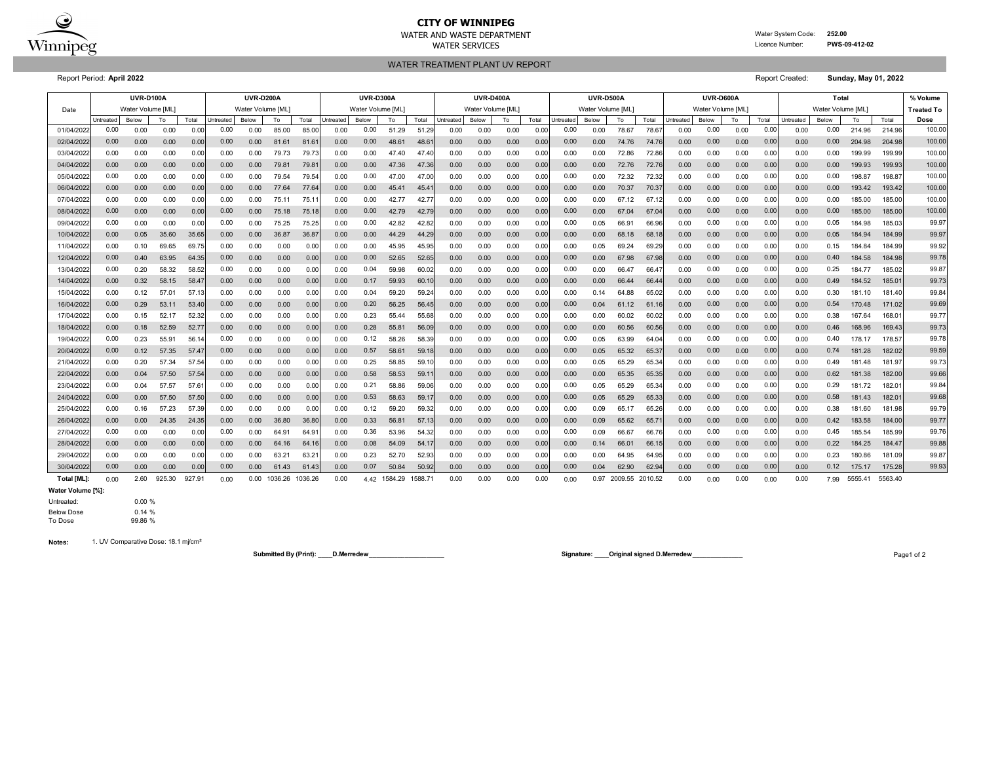

# **CITY OF WINNIPEG**

WATER AND WASTE DEPARTMENT Water System Code: **252.00** WATER SERVICES **EXAMPLE SERVICES Licence Number: PWS-09-412-02** 

WATER TREATMENT PLANT UV REPORT

Report Period: **April 2022** Report Created: **Sunday, May 01, 2022**

|                   |           | <b>UVR-D100A</b>  |        |        |                  | <b>UVR-D200A</b>  |         |         |           | <b>UVR-D300A</b>  |              |         | <b>UVR-D400A</b> |                   |      |       | <b>UVR-D500A</b> |                   |         |         |           | <b>UVR-D600A</b>  |      |       |                   | % Volume |         |         |                   |
|-------------------|-----------|-------------------|--------|--------|------------------|-------------------|---------|---------|-----------|-------------------|--------------|---------|------------------|-------------------|------|-------|------------------|-------------------|---------|---------|-----------|-------------------|------|-------|-------------------|----------|---------|---------|-------------------|
| Date              |           | Water Volume [ML] |        |        |                  | Water Volume [ML] |         |         |           | Water Volume [ML] |              |         |                  | Water Volume [ML] |      |       |                  | Water Volume [ML] |         |         |           | Water Volume [ML] |      |       | Water Volume [ML] |          |         |         | <b>Treated To</b> |
|                   | Untreated | Below             | To     | Total  | <b>Jntreated</b> | <b>Below</b>      | To      | Total   | Untreated | Below             | To           | Total   | Intreated        | <b>Below</b>      | To   | Total | Untreated        | <b>Below</b>      | To      | Total   | Jntreated | Below             | To   | Total | Untreated         | Below    | To      | Total   | Dose              |
| 01/04/202         | 0.00      | 0.00              | 0.00   | 0.00   | 0.00             | 0.00              | 85.00   | 85.00   | 0.00      | 0.00              | 51.29        | 51.29   | 0.00             | 0.00              | 0.00 | 0.00  | 0.00             | 0.00              | 78.67   | 78.6    | 0.00      | 0.00              | 0.00 | 0.00  | 0.00              | 0.00     | 214.96  | 214.96  | 100.00            |
| 02/04/2022        | 0.00      | 0.00              | 0.00   | 0.00   | 0.00             | 0.00              | 81.61   | 81.6'   | 0.00      | 0.00              | 48.61        | 48.6    | 0.00             | 0.00              | 0.00 | 0.00  | 0.00             | 0.00              | 74.76   | 74.7    | 0.00      | 0.00              | 0.00 | 0.00  | 0.00              | 0.00     | 204.98  | 204.98  | 100.00            |
| 03/04/202         | 0.00      | 0.00              | 0.00   | 0.00   | 0.00             | 0.00              | 79.73   | 79.7    | 0.00      | 0.00              | 47.40        | 47.40   | 0.00             | 0.00              | 0.00 | 0.00  | 0.00             | 0.00              | 72.86   | 72.86   | 0.00      | 0.00              | 0.00 | 0.00  | 0.00              | 0.00     | 199.99  | 199.99  | 100.00            |
| 04/04/2022        | 0.00      | 0.00              | 0.00   | 0.00   | 0.00             | 0.00              | 79.81   | 79.8    | 0.00      | 0.00              | 47.36        | 47.36   | 0.00             | 0.00              | 0.00 | 0.00  | 0.00             | 0.00              | 72.76   | 72.7    | 0.00      | 0.00              | 0.00 | 0.00  | 0.00              | 0.00     | 199.93  | 199.93  | 100.00            |
| 05/04/202         | 0.00      | 0.00              | 0.00   | 0.00   | 0.00             | 0.00              | 79.54   | 79.54   | 0.00      | 0.00              | 47.00        | 47.0    | 0.00             | 0.00              | 0.00 | 0.00  | 0.00             | 0.00              | 72.32   | 72.3    | 0.00      | 0.00              | 0.00 | 0.00  | 0.00              | 0.00     | 198.87  | 198.8   | 100.00            |
| 06/04/202         | 0.00      | 0.00              | 0.00   | 0.00   | 0.00             | 0.00              | 77.64   | 77.64   | 0.00      | 0.00              | 45.41        | 45.4    | 0.00             | 0.00              | 0.00 | 0.00  | 0.00             | 0.00              | 70.37   | 70.3    | 0.00      | 0.00              | 0.00 | 0.00  | 0.00              | 0.00     | 193.42  | 193.42  | 100.00            |
| 07/04/202         | 0.00      | 0.00              | 0.00   | 0.00   | 0.00             | 0.00              | 75.11   | 75.1    | 0.00      | 0.00              | 42.77        | 42.7    | 0.00             | 0.00              | 0.00 | 0.00  | 0.00             | 0.00              | 67.12   | 67.1    | 0.00      | 0.00              | 0.00 | 0.00  | 0.00              | 0.00     | 185.00  | 185.00  | 100.00            |
| 08/04/202         | 0.00      | 0.00              | 0.00   | 0.00   | 0.00             | 0.00              | 75.18   | 75.18   | 0.00      | 0.00              | 42.79        | 42.79   | 0.00             | 0.00              | 0.00 | 0.00  | 0.00             | 0.00              | 67.04   | 67.0    | 0.00      | 0.00              | 0.00 | 0.00  | 0.00              | 0.00     | 185.00  | 185.00  | 100.00            |
| 09/04/202         | 0.00      | 0.00              | 0.00   | 0.00   | 0.00             | 0.00              | 75.25   | 75.2    | 0.00      | 0.00              | 42.82        | 42.82   | 0.00             | 0.00              | 0.00 | 0.00  | 0.00             | 0.05              | 66.91   | 66.96   | 0.00      | 0.00              | 0.00 | 0.00  | 0.00              | 0.05     | 184.98  | 185.03  | 99.97             |
| 10/04/202         | 0.00      | 0.05              | 35.60  | 35.65  | 0.00             | 0.00              | 36.87   | 36.8    | 0.00      | 0.00              | 44.29        | 44.29   | 0.00             | 0.00              | 0.00 | 0.00  | 0.00             | 0.00              | 68.18   | 68.1    | 0.00      | 0.00              | 0.00 | 0.00  | 0.00              | 0.05     | 184.94  | 184.99  | 99.97             |
| 11/04/202         | 0.00      | 0.10              | 69.65  | 69.75  | 0.00             | 0.00              | 0.00    | 0.00    | 0.00      | 0.00              | 45.95        | 45.95   | 0.00             | 0.00              | 0.00 | 0.00  | 0.00             | 0.05              | 69.24   | 69.29   | 0.00      | 0.00              | 0.00 | 0.00  | 0.00              | 0.15     | 184.84  | 184.99  | 99.92             |
| 12/04/202         | 0.00      | 0.40              | 63.95  | 64.35  | 0.00             | 0.00              | 0.00    | 0.00    | 0.00      | 0.00              | 52.65        | 52.6    | 0.00             | 0.00              | 0.00 | 0.00  | 0.00             | 0.00              | 67.98   | 67.98   | 0.00      | 0.00              | 0.00 | 0.00  | 0.00              | 0.40     | 184.58  | 184.98  | 99.78             |
| 13/04/202         | 0.00      | 0.20              | 58.32  | 58.52  | 0.00             | 0.00              | 0.00    | 0.00    | 0.00      | 0.04              | 59.98        | 60.02   | 0.00             | 0.00              | 0.00 | 0.00  | 0.00             | 0.00              | 66.47   | 66.47   | 0.00      | 0.00              | 0.00 | 0.00  | 0.00              | 0.25     | 184.77  | 185.02  | 99.87             |
| 14/04/202         | 0.00      | 0.32              | 58.15  | 58.4   | 0.00             | 0.00              | 0.00    | 0.00    | 0.00      | 0.17              | 59.93        | 60.10   | 0.00             | 0.00              | 0.00 | 0.00  | 0.00             | 0.00              | 66.44   | 66.4    | 0.00      | 0.00              | 0.00 | 0.00  | 0.00              | 0.49     | 184.52  | 185.0   | 99.73             |
| 15/04/202         | 0.00      | 0.12              | 57.01  | 57.13  | 0.00             | 0.00              | 0.00    | 0.00    | 0.00      | 0.04              | 59.20        | 59.24   | 0.00             | 0.00              | 0.00 | 0.00  | 0.00             | 0.14              | 64.88   | 65.02   | 0.00      | 0.00              | 0.00 | 0.00  | 0.00              | 0.30     | 181.10  | 181.40  | 99.84             |
| 16/04/2022        | 0.00      | 0.29              | 53.11  | 53.40  | 0.00             | 0.00              | 0.00    | 0.00    | 0.00      | 0.20              | 56.25        | 56.45   | 0.00             | 0.00              | 0.00 | 0.00  | 0.00             | 0.04              | 61.12   | 61.1    | 0.00      | 0.00              | 0.00 | 0.00  | 0.00              | 0.54     | 170.48  | 171.02  | 99.69             |
| 17/04/202         | 0.00      | 0.15              | 52.17  | 52.32  | 0.00             | 0.00              | 0.00    | 0.00    | 0.00      | 0.23              | 55.44        | 55.68   | 0.00             | 0.00              | 0.00 | 0.00  | 0.00             | 0.00              | 60.02   | 60.0    | 0.00      | 0.00              | 0.00 | 0.00  | 0.00              | 0.38     | 167.64  | 168.0   | 99.77             |
| 18/04/2022        | 0.00      | 0.18              | 52.59  | 52.77  | 0.00             | 0.00              | 0.00    | 0.00    | 0.00      | 0.28              | 55.81        | 56.09   | 0.00             | 0.00              | 0.00 | 0.00  | 0.00             | 0.00              | 60.56   | 60.56   | 0.00      | 0.00              | 0.00 | 0.00  | 0.00              | 0.46     | 168.96  | 169.43  | 99.73             |
| 19/04/202         | 0.00      | 0.23              | 55.91  | 56.14  | 0.00             | 0.00              | 0.00    | 0.00    | 0.00      | 0.12              | 58.26        | 58.39   | 0.00             | 0.00              | 0.00 | 0.00  | 0.00             | 0.05              | 63.99   | 64.04   | 0.00      | 0.00              | 0.00 | 0.00  | 0.00              | 0.40     | 178.17  | 178.57  | 99.78             |
| 20/04/2022        | 0.00      | 0.12              | 57.35  | 57.47  | 0.00             | 0.00              | 0.00    | 0.00    | 0.00      | 0.57              | 58.61        | 59.18   | 0.00             | 0.00              | 0.00 | 0.00  | 0.00             | 0.05              | 65.32   | 65.3    | 0.00      | 0.00              | 0.00 | 0.00  | 0.00              | 0.74     | 181.28  | 182.02  | 99.59             |
| 21/04/2022        | 0.00      | 0.20              | 57.34  | 57.54  | 0.00             | 0.00              | 0.00    | 0.00    | 0.00      | 0.25              | 58.85        | 59.10   | 0.00             | 0.00              | 0.00 | 0.00  | 0.00             | 0.05              | 65.29   | 65.3    | 0.00      | 0.00              | 0.00 | 0.00  | 0.00              | 0.49     | 181.48  | 181.97  | 99.73             |
| 22/04/202         | 0.00      | 0.04              | 57.50  | 57.54  | 0.00             | 0.00              | 0.00    | 0.00    | 0.00      | 0.58              | 58.53        | 59.1    | 0.00             | 0.00              | 0.00 | 0.00  | 0.00             | 0.00              | 65.35   | 65.35   | 0.00      | 0.00              | 0.00 | 0.00  | 0.00              | 0.62     | 181.38  | 182.00  | 99.66             |
| 23/04/202         | 0.00      | 0.04              | 57.57  | 57.6   | 0.00             | 0.00              | 0.00    | 0.00    | 0.00      | 0.21              | 58.86        | 59.0    | 0.00             | 0.00              | 0.00 | 0.00  | 0.00             | 0.05              | 65.29   | 65.3    | 0.00      | 0.00              | 0.00 | 0.00  | 0.00              | 0.29     | 181.72  | 182.0   | 99.84             |
| 24/04/202         | 0.00      | 0.00              | 57.50  | 57.50  | 0.00             | 0.00              | 0.00    | 0.00    | 0.00      | 0.53              | 58.63        | 59.1    | 0.00             | 0.00              | 0.00 | 0.00  | 0.00             | 0.05              | 65.29   | 65.3    | 0.00      | 0.00              | 0.00 | 0.00  | 0.00              | 0.58     | 181.43  | 182.0   | 99.68             |
| 25/04/2022        | 0.00      | 0.16              | 57.23  | 57.39  | 0.00             | 0.00              | 0.00    | 0.00    | 0.00      | 0.12              | 59.20        | 59.32   | 0.00             | 0.00              | 0.00 | 0.00  | 0.00             | 0.09              | 65.17   | 65.26   | 0.00      | 0.00              | 0.00 | 0.00  | 0.00              | 0.38     | 181.60  | 181.98  | 99.79             |
| 26/04/202         | 0.00      | 0.00              | 24.35  | 24.35  | 0.00             | 0.00              | 36.80   | 36.80   | 0.00      | 0.33              | 56.81        | 57.13   | 0.00             | 0.00              | 0.00 | 0.00  | 0.00             | 0.09              | 65.62   | 65.7    | 0.00      | 0.00              | 0.00 | 0.00  | 0.00              | 0.42     | 183.58  | 184.00  | 99.77             |
| 27/04/202         | 0.00      | 0.00              | 0.00   | 0.00   | 0.00             | 0.00              | 64.91   | 64.9    | 0.00      | 0.36              | 53.96        | 54.32   | 0.00             | 0.00              | 0.00 | 0.00  | 0.00             | 0.09              | 66.67   | 66.7    | 0.00      | 0.00              | 0.00 | 0.00  | 0.00              | 0.45     | 185.54  | 185.99  | 99.76             |
| 28/04/2022        | 0.00      | 0.00              | 0.00   | 0.00   | 0.00             | 0.00              | 64.16   | 64.1    | 0.00      | 0.08              | 54.09        | 54.1    | 0.00             | 0.00              | 0.00 | 0.00  | 0.00             | 0.14              | 66.01   | 66.1    | 0.00      | 0.00              | 0.00 | 0.00  | 0.00              | 0.22     | 184.25  | 184.47  | 99.88             |
| 29/04/202         | 0.00      | 0.00              | 0.00   | 0.00   | 0.00             | 0.00              | 63.21   | 63.2    | 0.00      | 0.23              | 52.70        | 52.93   | 0.00             | 0.00              | 0.00 | 0.00  | 0.00             | 0.00              | 64.95   | 64.95   | 0.00      | 0.00              | 0.00 | 0.00  | 0.00              | 0.23     | 180.86  | 181.09  | 99.87             |
| 30/04/202         | 0.00      | 0.00              | 0.00   | 0.00   | 0.00             | 0.00              | 61.43   | 61.4    | 0.00      | 0.07              | 50.84        | 50.92   | 0.00             | 0.00              | 0.00 | 0.00  | 0.00             | 0.04              | 62.90   | 62.94   | 0.00      | 0.00              | 0.00 | 0.00  | 0.00              | 0.12     | 175.17  | 175.28  | 99.93             |
| <b>Total [ML]</b> | 0.00      | 2.60              | 925.30 | 927.91 | 0.00             | 0.00              | 1036.26 | 1036.26 | 0.00      |                   | 4.42 1584.29 | 1588.71 | 0.00             | 0.00              | 0.00 | 0.00  | 0.00             | 0.97              | 2009.55 | 2010.52 | 0.00      | 0.00              | 0.00 | 0.00  | 0.00              | 7.99     | 5555.41 | 5563.40 |                   |

**Water Volume [%]:**

Untreated: 0.00 %

Below Dose 0.14 %<br>To Dose 99.86 % To Dose

**Notes:** 1. UV Comparative Dose: 18.1 mj/cm²

**Submitted By (Print): \_\_\_\_D.Merredew\_\_\_\_\_\_\_\_\_\_\_\_\_\_\_\_\_\_\_\_\_ Signature: \_\_\_\_Original signed D.Merredew\_\_\_\_\_\_\_\_\_\_\_\_\_\_** Page1 of 2